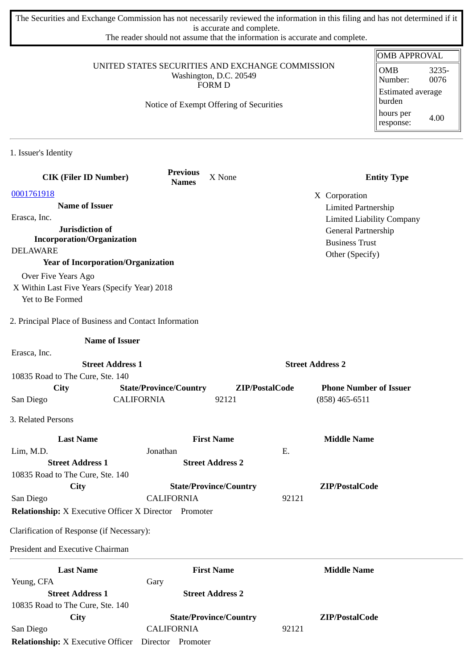The Securities and Exchange Commission has not necessarily reviewed the information in this filing and has not determined if it is accurate and complete.

The reader should not assume that the information is accurate and complete.

|                                                                            |                                                    |                               |                     |                                                   | <b>OMB APPROVAL</b>                |
|----------------------------------------------------------------------------|----------------------------------------------------|-------------------------------|---------------------|---------------------------------------------------|------------------------------------|
| UNITED STATES SECURITIES AND EXCHANGE COMMISSION<br>Washington, D.C. 20549 |                                                    |                               | <b>OMB</b><br>3235- |                                                   |                                    |
|                                                                            |                                                    | FORM D                        |                     |                                                   | 0076<br>Number:                    |
|                                                                            | Notice of Exempt Offering of Securities            |                               |                     |                                                   | <b>Estimated average</b><br>burden |
|                                                                            |                                                    |                               |                     |                                                   | hours per<br>4.00<br>response:     |
| 1. Issuer's Identity                                                       |                                                    |                               |                     |                                                   |                                    |
| <b>CIK (Filer ID Number)</b>                                               | <b>Previous</b><br><b>Names</b>                    | X None                        |                     |                                                   | <b>Entity Type</b>                 |
| 0001761918                                                                 |                                                    |                               |                     | X Corporation                                     |                                    |
| <b>Name of Issuer</b>                                                      |                                                    |                               |                     | <b>Limited Partnership</b>                        |                                    |
| Erasca, Inc.                                                               |                                                    |                               |                     |                                                   | <b>Limited Liability Company</b>   |
| Jurisdiction of<br><b>Incorporation/Organization</b>                       |                                                    |                               |                     | General Partnership                               |                                    |
| <b>DELAWARE</b>                                                            |                                                    |                               |                     | <b>Business Trust</b>                             |                                    |
| <b>Year of Incorporation/Organization</b>                                  |                                                    |                               |                     | Other (Specify)                                   |                                    |
| Over Five Years Ago                                                        |                                                    |                               |                     |                                                   |                                    |
| X Within Last Five Years (Specify Year) 2018                               |                                                    |                               |                     |                                                   |                                    |
| Yet to Be Formed                                                           |                                                    |                               |                     |                                                   |                                    |
| 2. Principal Place of Business and Contact Information                     |                                                    |                               |                     |                                                   |                                    |
| <b>Name of Issuer</b>                                                      |                                                    |                               |                     |                                                   |                                    |
| Erasca, Inc.                                                               |                                                    |                               |                     |                                                   |                                    |
| <b>Street Address 1</b>                                                    |                                                    |                               |                     | <b>Street Address 2</b>                           |                                    |
| 10835 Road to The Cure, Ste. 140                                           |                                                    |                               |                     |                                                   |                                    |
| City<br>San Diego                                                          | <b>State/Province/Country</b><br><b>CALIFORNIA</b> | ZIP/PostalCode<br>92121       |                     | <b>Phone Number of Issuer</b><br>$(858)$ 465-6511 |                                    |
|                                                                            |                                                    |                               |                     |                                                   |                                    |
| 3. Related Persons                                                         |                                                    |                               |                     |                                                   |                                    |
| <b>Last Name</b>                                                           |                                                    | <b>First Name</b>             |                     | <b>Middle Name</b>                                |                                    |
| Lim, M.D.                                                                  | Jonathan                                           |                               | Ε.                  |                                                   |                                    |
| <b>Street Address 1</b>                                                    |                                                    | <b>Street Address 2</b>       |                     |                                                   |                                    |
| 10835 Road to The Cure, Ste. 140                                           |                                                    |                               |                     |                                                   |                                    |
| City                                                                       | <b>CALIFORNIA</b>                                  | <b>State/Province/Country</b> | 92121               | ZIP/PostalCode                                    |                                    |
| San Diego<br><b>Relationship:</b> X Executive Officer X Director Promoter  |                                                    |                               |                     |                                                   |                                    |
| Clarification of Response (if Necessary):                                  |                                                    |                               |                     |                                                   |                                    |
| President and Executive Chairman                                           |                                                    |                               |                     |                                                   |                                    |
| <b>Last Name</b>                                                           |                                                    | <b>First Name</b>             |                     | <b>Middle Name</b>                                |                                    |
| Yeung, CFA                                                                 | Gary                                               |                               |                     |                                                   |                                    |
| <b>Street Address 1</b>                                                    |                                                    | <b>Street Address 2</b>       |                     |                                                   |                                    |
| 10835 Road to The Cure, Ste. 140                                           |                                                    |                               |                     |                                                   |                                    |
| City<br>San Diego                                                          | <b>CALIFORNIA</b>                                  | <b>State/Province/Country</b> | 92121               | ZIP/PostalCode                                    |                                    |
| Relationship: X Executive Officer  Director  Promoter                      |                                                    |                               |                     |                                                   |                                    |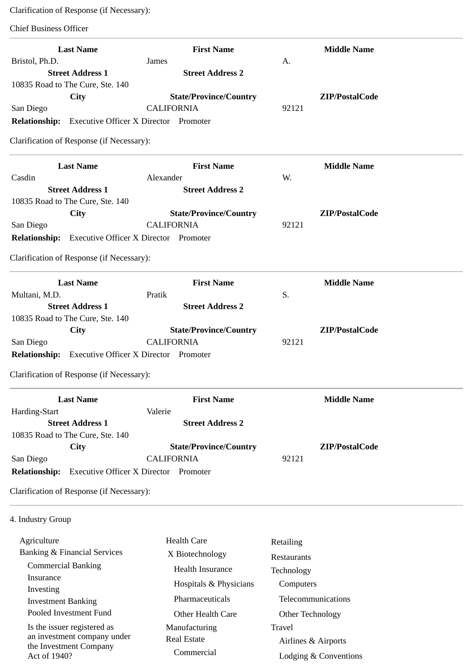Clarification of Response (if Necessary):

Chief Business Officer

| <b>Last Name</b>                                            | <b>First Name</b>                            | <b>Middle Name</b>    |
|-------------------------------------------------------------|----------------------------------------------|-----------------------|
| Bristol, Ph.D.                                              | James                                        | A.                    |
| <b>Street Address 1</b>                                     | <b>Street Address 2</b>                      |                       |
| 10835 Road to The Cure, Ste. 140                            |                                              |                       |
| <b>City</b>                                                 | <b>State/Province/Country</b>                | ZIP/PostalCode        |
| San Diego                                                   | <b>CALIFORNIA</b>                            | 92121                 |
| <b>Relationship:</b> Executive Officer X Director Promoter  |                                              |                       |
| Clarification of Response (if Necessary):                   |                                              |                       |
| <b>Last Name</b>                                            | <b>First Name</b>                            | <b>Middle Name</b>    |
| Casdin                                                      | Alexander                                    | W.                    |
| <b>Street Address 1</b>                                     | <b>Street Address 2</b>                      |                       |
| 10835 Road to The Cure, Ste. 140                            |                                              |                       |
| <b>City</b>                                                 | <b>State/Province/Country</b>                | ZIP/PostalCode        |
| San Diego                                                   | <b>CALIFORNIA</b>                            | 92121                 |
| <b>Relationship:</b>                                        | <b>Executive Officer X Director Promoter</b> |                       |
| Clarification of Response (if Necessary):                   |                                              |                       |
| <b>Last Name</b>                                            | <b>First Name</b>                            | <b>Middle Name</b>    |
| Multani, M.D.                                               | Pratik                                       | S.                    |
| <b>Street Address 1</b>                                     | <b>Street Address 2</b>                      |                       |
| 10835 Road to The Cure, Ste. 140                            |                                              |                       |
| City                                                        | <b>State/Province/Country</b>                | ZIP/PostalCode        |
| San Diego                                                   | <b>CALIFORNIA</b>                            | 92121                 |
| <b>Relationship:</b> Executive Officer X Director Promoter  |                                              |                       |
| Clarification of Response (if Necessary):                   |                                              |                       |
| <b>Last Name</b>                                            | <b>First Name</b>                            | <b>Middle Name</b>    |
| Harding-Start                                               | Valerie                                      |                       |
| <b>Street Address 1</b>                                     | <b>Street Address 2</b>                      |                       |
| 10835 Road to The Cure, Ste. 140                            |                                              |                       |
| <b>City</b>                                                 | <b>State/Province/Country</b>                | ZIP/PostalCode        |
| San Diego                                                   | <b>CALIFORNIA</b>                            | 92121                 |
| <b>Relationship:</b><br><b>Executive Officer X Director</b> | Promoter                                     |                       |
| Clarification of Response (if Necessary):                   |                                              |                       |
| 4. Industry Group                                           |                                              |                       |
| Agriculture                                                 | <b>Health Care</b>                           | Retailing             |
| <b>Banking &amp; Financial Services</b>                     | X Biotechnology                              | Restaurants           |
| <b>Commercial Banking</b>                                   | <b>Health Insurance</b>                      | Technology            |
| Insurance                                                   | Hospitals & Physicians                       | Computers             |
| Investing                                                   |                                              |                       |
| <b>Investment Banking</b>                                   | Pharmaceuticals                              | Telecommunications    |
| Pooled Investment Fund                                      | Other Health Care                            | Other Technology      |
| Is the issuer registered as                                 | Manufacturing                                | Travel                |
| an investment company under<br>the Investment Company       | <b>Real Estate</b>                           | Airlines & Airports   |
| Act of 1940?                                                | Commercial                                   | Lodging & Conventions |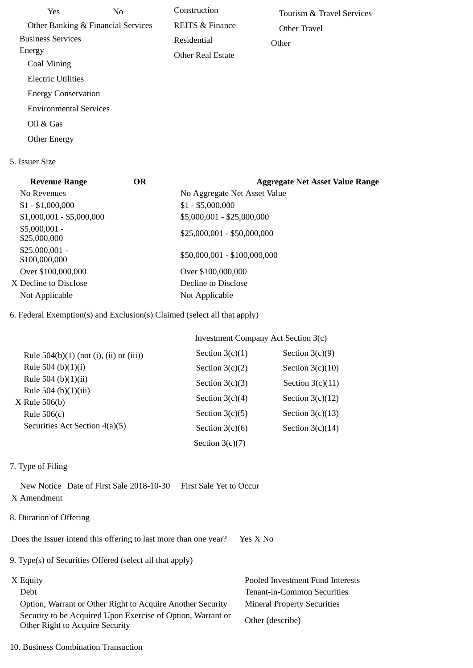| Yes.                          | No.                                | Construction               | Tourism & Travel Services |
|-------------------------------|------------------------------------|----------------------------|---------------------------|
|                               | Other Banking & Financial Services | <b>REITS &amp; Finance</b> | Other Travel              |
| <b>Business Services</b>      |                                    | Residential                | Other                     |
| Energy                        |                                    | <b>Other Real Estate</b>   |                           |
| Coal Mining                   |                                    |                            |                           |
| Electric Utilities            |                                    |                            |                           |
| <b>Energy Conservation</b>    |                                    |                            |                           |
| <b>Environmental Services</b> |                                    |                            |                           |
| Oil & Gas                     |                                    |                            |                           |
| <b>Other Energy</b>           |                                    |                            |                           |
|                               |                                    |                            |                           |

## 5. Issuer Size

| <b>Revenue Range</b>             | <b>OR</b> | <b>Aggregate Net Asset Value Range</b> |
|----------------------------------|-----------|----------------------------------------|
| No Revenues                      |           | No Aggregate Net Asset Value           |
| $$1 - $1,000,000$                |           | $$1 - $5,000,000$                      |
| $$1,000,001 - $5,000,000$        |           | \$5,000,001 - \$25,000,000             |
| $$5,000,001 -$<br>\$25,000,000   |           | \$25,000,001 - \$50,000,000            |
| $$25,000,001 -$<br>\$100,000,000 |           | \$50,000,001 - \$100,000,000           |
| Over \$100,000,000               |           | Over \$100,000,000                     |
| X Decline to Disclose            |           | Decline to Disclose                    |
| Not Applicable                   |           | Not Applicable                         |

6. Federal Exemption(s) and Exclusion(s) Claimed (select all that apply)

|                                           | <b>Investment Company Act Section 3(c)</b> |                    |  |
|-------------------------------------------|--------------------------------------------|--------------------|--|
| Rule $504(b)(1)$ (not (i), (ii) or (iii)) | Section $3(c)(1)$                          | Section $3(c)(9)$  |  |
| Rule 504 (b) $(1)(i)$                     | Section $3(c)(2)$                          | Section $3(c)(10)$ |  |
| Rule 504 (b) $(1)(ii)$                    | Section $3(c)(3)$                          | Section $3(c)(11)$ |  |
| Rule 504 (b) $(1)(iii)$<br>X Rule 506(b)  | Section $3(c)(4)$                          | Section $3(c)(12)$ |  |
| Rule $506(c)$                             | Section $3(c)(5)$                          | Section $3(c)(13)$ |  |
| Securities Act Section 4(a)(5)            | Section $3(c)(6)$                          | Section $3(c)(14)$ |  |
|                                           | Section $3(c)(7)$                          |                    |  |

## 7. Type of Filing

 New Notice Date of First Sale 2018-10-30 First Sale Yet to Occur X Amendment

# 8. Duration of Offering

Does the Issuer intend this offering to last more than one year? Yes X No

9. Type(s) of Securities Offered (select all that apply)

 Option, Warrant or Other Right to Acquire Another Security Mineral Property Securities Security to be Acquired Upon Exercise of Option, Warrant or Security to be Acquired Opon Exercise of Option, warrant of Other (describe)<br>Other Right to Acquire Security

X Equity Pooled Investment Fund Interests Debt Tenant-in-Common Securities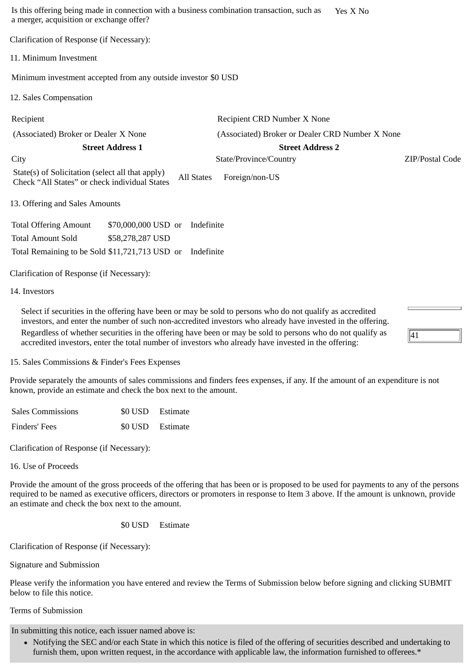Is this offering being made in connection with a business combination transaction, such as a merger, acquisition or exchange offer? Yes X No Clarification of Response (if Necessary): 11. Minimum Investment Minimum investment accepted from any outside investor \$0 USD 12. Sales Compensation Recipient Recipient CRD Number X None (Associated) Broker or Dealer X None (Associated) Broker or Dealer CRD Number X None **Street Address 1 Street Address 2** City State/Province/Country ZIP/Postal Code State(s) of Solicitation (select all that apply) Check "All States" or check individual States All States Foreign/non-US 13. Offering and Sales Amounts Total Offering Amount \$70,000,000 USD or Indefinite Total Amount Sold \$58,278,287 USD Total Remaining to be Sold \$11,721,713 USD or Indefinite Clarification of Response (if Necessary):

### 14. Investors

Select if securities in the offering have been or may be sold to persons who do not qualify as accredited investors, and enter the number of such non-accredited investors who already have invested in the offering. Regardless of whether securities in the offering have been or may be sold to persons who do not qualify as accredited investors, enter the total number of investors who already have invested in the offering:

41

15. Sales Commissions & Finder's Fees Expenses

Provide separately the amounts of sales commissions and finders fees expenses, if any. If the amount of an expenditure is not known, provide an estimate and check the box next to the amount.

| <b>Sales Commissions</b> | \$0 USD Estimate |
|--------------------------|------------------|
| Finders' Fees            | \$0 USD Estimate |

Clarification of Response (if Necessary):

16. Use of Proceeds

Provide the amount of the gross proceeds of the offering that has been or is proposed to be used for payments to any of the persons required to be named as executive officers, directors or promoters in response to Item 3 above. If the amount is unknown, provide an estimate and check the box next to the amount.

## \$0 USD Estimate

Clarification of Response (if Necessary):

Signature and Submission

Please verify the information you have entered and review the Terms of Submission below before signing and clicking SUBMIT below to file this notice.

## Terms of Submission

In submitting this notice, each issuer named above is:

Notifying the SEC and/or each State in which this notice is filed of the offering of securities described and undertaking to furnish them, upon written request, in the accordance with applicable law, the information furnished to offerees.\*